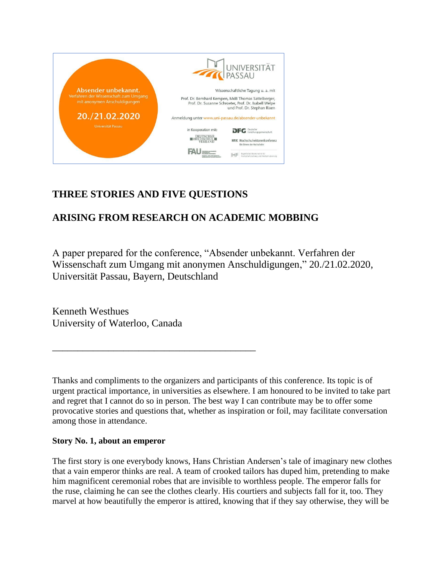

## **THREE STORIES AND FIVE QUESTIONS**

\_\_\_\_\_\_\_\_\_\_\_\_\_\_\_\_\_\_\_\_\_\_\_\_\_\_\_\_\_\_\_\_\_\_\_\_\_\_\_\_

# **ARISING FROM RESEARCH ON ACADEMIC MOBBING**

A paper prepared for the conference, "Absender unbekannt. Verfahren der Wissenschaft zum Umgang mit anonymen Anschuldigungen," 20./21.02.2020, Universität Passau, Bayern, Deutschland

Kenneth Westhues University of Waterloo, Canada

Thanks and compliments to the organizers and participants of this conference. Its topic is of urgent practical importance, in universities as elsewhere. I am honoured to be invited to take part and regret that I cannot do so in person. The best way I can contribute may be to offer some provocative stories and questions that, whether as inspiration or foil, may facilitate conversation among those in attendance.

### **Story No. 1, about an emperor**

The first story is one everybody knows, Hans Christian Andersen's tale of imaginary new clothes that a vain emperor thinks are real. A team of crooked tailors has duped him, pretending to make him magnificent ceremonial robes that are invisible to worthless people. The emperor falls for the ruse, claiming he can see the clothes clearly. His courtiers and subjects fall for it, too. They marvel at how beautifully the emperor is attired, knowing that if they say otherwise, they will be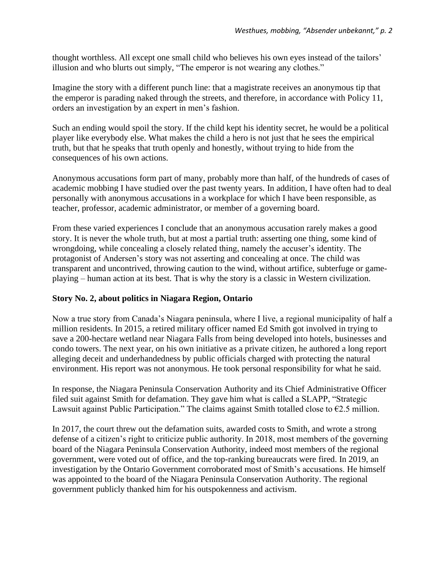thought worthless. All except one small child who believes his own eyes instead of the tailors' illusion and who blurts out simply, "The emperor is not wearing any clothes."

Imagine the story with a different punch line: that a magistrate receives an anonymous tip that the emperor is parading naked through the streets, and therefore, in accordance with Policy 11, orders an investigation by an expert in men's fashion.

Such an ending would spoil the story. If the child kept his identity secret, he would be a political player like everybody else. What makes the child a hero is not just that he sees the empirical truth, but that he speaks that truth openly and honestly, without trying to hide from the consequences of his own actions.

Anonymous accusations form part of many, probably more than half, of the hundreds of cases of academic mobbing I have studied over the past twenty years. In addition, I have often had to deal personally with anonymous accusations in a workplace for which I have been responsible, as teacher, professor, academic administrator, or member of a governing board.

From these varied experiences I conclude that an anonymous accusation rarely makes a good story. It is never the whole truth, but at most a partial truth: asserting one thing, some kind of wrongdoing, while concealing a closely related thing, namely the accuser's identity. The protagonist of Andersen's story was not asserting and concealing at once. The child was transparent and uncontrived, throwing caution to the wind, without artifice, subterfuge or gameplaying – human action at its best. That is why the story is a classic in Western civilization.

### **Story No. 2, about politics in Niagara Region, Ontario**

Now a true story from Canada's Niagara peninsula, where I live, a regional municipality of half a million residents. In 2015, a retired military officer named Ed Smith got involved in trying to save a 200-hectare wetland near Niagara Falls from being developed into hotels, businesses and condo towers. The next year, on his own initiative as a private citizen, he authored a long report alleging deceit and underhandedness by public officials charged with protecting the natural environment. His report was not anonymous. He took personal responsibility for what he said.

In response, the Niagara Peninsula Conservation Authority and its Chief Administrative Officer filed suit against Smith for defamation. They gave him what is called a SLAPP, "Strategic Lawsuit against Public Participation." The claims against Smith totalled close to  $\epsilon$ 2.5 million.

In 2017, the court threw out the defamation suits, awarded costs to Smith, and wrote a strong defense of a citizen's right to criticize public authority. In 2018, most members of the governing board of the Niagara Peninsula Conservation Authority, indeed most members of the regional government, were voted out of office, and the top-ranking bureaucrats were fired. In 2019, an investigation by the Ontario Government corroborated most of Smith's accusations. He himself was appointed to the board of the Niagara Peninsula Conservation Authority. The regional government publicly thanked him for his outspokenness and activism.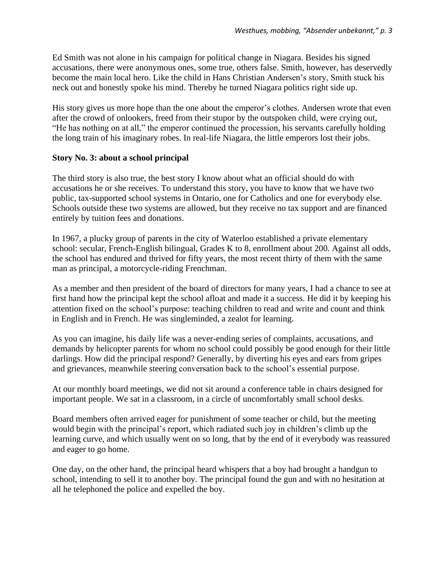Ed Smith was not alone in his campaign for political change in Niagara. Besides his signed accusations, there were anonymous ones, some true, others false. Smith, however, has deservedly become the main local hero. Like the child in Hans Christian Andersen's story, Smith stuck his neck out and honestly spoke his mind. Thereby he turned Niagara politics right side up.

His story gives us more hope than the one about the emperor's clothes. Andersen wrote that even after the crowd of onlookers, freed from their stupor by the outspoken child, were crying out, "He has nothing on at all," the emperor continued the procession, his servants carefully holding the long train of his imaginary robes. In real-life Niagara, the little emperors lost their jobs.

#### **Story No. 3: about a school principal**

The third story is also true, the best story I know about what an official should do with accusations he or she receives. To understand this story, you have to know that we have two public, tax-supported school systems in Ontario, one for Catholics and one for everybody else. Schools outside these two systems are allowed, but they receive no tax support and are financed entirely by tuition fees and donations.

In 1967, a plucky group of parents in the city of Waterloo established a private elementary school: secular, French-English bilingual, Grades K to 8, enrollment about 200. Against all odds, the school has endured and thrived for fifty years, the most recent thirty of them with the same man as principal, a motorcycle-riding Frenchman.

As a member and then president of the board of directors for many years, I had a chance to see at first hand how the principal kept the school afloat and made it a success. He did it by keeping his attention fixed on the school's purpose: teaching children to read and write and count and think in English and in French. He was singleminded, a zealot for learning.

As you can imagine, his daily life was a never-ending series of complaints, accusations, and demands by helicopter parents for whom no school could possibly be good enough for their little darlings. How did the principal respond? Generally, by diverting his eyes and ears from gripes and grievances, meanwhile steering conversation back to the school's essential purpose.

At our monthly board meetings, we did not sit around a conference table in chairs designed for important people. We sat in a classroom, in a circle of uncomfortably small school desks.

Board members often arrived eager for punishment of some teacher or child, but the meeting would begin with the principal's report, which radiated such joy in children's climb up the learning curve, and which usually went on so long, that by the end of it everybody was reassured and eager to go home.

One day, on the other hand, the principal heard whispers that a boy had brought a handgun to school, intending to sell it to another boy. The principal found the gun and with no hesitation at all he telephoned the police and expelled the boy.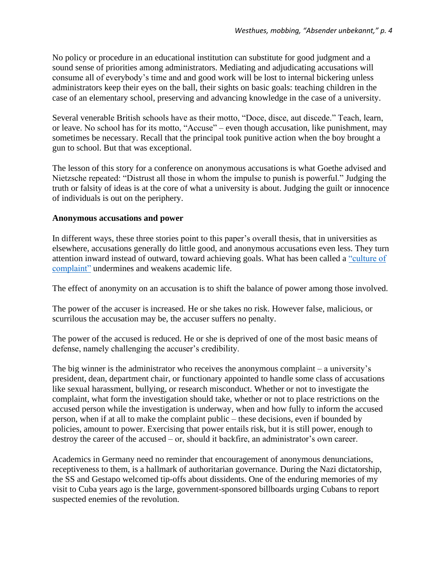No policy or procedure in an educational institution can substitute for good judgment and a sound sense of priorities among administrators. Mediating and adjudicating accusations will consume all of everybody's time and and good work will be lost to internal bickering unless administrators keep their eyes on the ball, their sights on basic goals: teaching children in the case of an elementary school, preserving and advancing knowledge in the case of a university.

Several venerable British schools have as their motto, "Doce, disce, aut discede." Teach, learn, or leave. No school has for its motto, "Accuse" – even though accusation, like punishment, may sometimes be necessary. Recall that the principal took punitive action when the boy brought a gun to school. But that was exceptional.

The lesson of this story for a conference on anonymous accusations is what Goethe advised and Nietzsche repeated: "Distrust all those in whom the impulse to punish is powerful." Judging the truth or falsity of ideas is at the core of what a university is about. Judging the guilt or innocence of individuals is out on the periphery.

#### **Anonymous accusations and power**

In different ways, these three stories point to this paper's overall thesis, that in universities as elsewhere, accusations generally do little good, and anonymous accusations even less. They turn attention inward instead of outward, toward achieving goals. What has been called a ["culture of](http://scott.london/reviews/hughes.html)  [complaint"](http://scott.london/reviews/hughes.html) undermines and weakens academic life.

The effect of anonymity on an accusation is to shift the balance of power among those involved.

The power of the accuser is increased. He or she takes no risk. However false, malicious, or scurrilous the accusation may be, the accuser suffers no penalty.

The power of the accused is reduced. He or she is deprived of one of the most basic means of defense, namely challenging the accuser's credibility.

The big winner is the administrator who receives the anonymous complaint – a university's president, dean, department chair, or functionary appointed to handle some class of accusations like sexual harassment, bullying, or research misconduct. Whether or not to investigate the complaint, what form the investigation should take, whether or not to place restrictions on the accused person while the investigation is underway, when and how fully to inform the accused person, when if at all to make the complaint public – these decisions, even if bounded by policies, amount to power. Exercising that power entails risk, but it is still power, enough to destroy the career of the accused – or, should it backfire, an administrator's own career.

Academics in Germany need no reminder that encouragement of anonymous denunciations, receptiveness to them, is a hallmark of authoritarian governance. During the Nazi dictatorship, the SS and Gestapo welcomed tip-offs about dissidents. One of the enduring memories of my visit to Cuba years ago is the large, government-sponsored billboards urging Cubans to report suspected enemies of the revolution.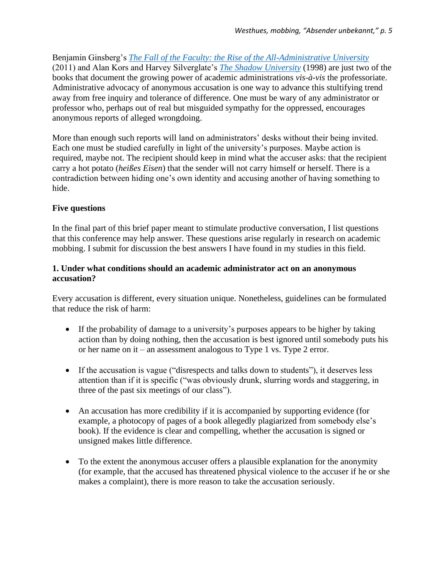Benjamin Ginsberg's *[The Fall of the Faculty: the Rise of the All-Administrative University](https://www.insidehighered.com/news/2011/07/14/fall-faculty)* (2011) and Alan Kors and Harvey Silverglate's *[The Shadow University](https://www.thefire.org/the-shadow-university-celebrates-its-ten-year-anniversary/)* (1998) are just two of the books that document the growing power of academic administrations *vis-à-vis* the professoriate. Administrative advocacy of anonymous accusation is one way to advance this stultifying trend away from free inquiry and tolerance of difference. One must be wary of any administrator or professor who, perhaps out of real but misguided sympathy for the oppressed, encourages anonymous reports of alleged wrongdoing.

More than enough such reports will land on administrators' desks without their being invited. Each one must be studied carefully in light of the university's purposes. Maybe action is required, maybe not. The recipient should keep in mind what the accuser asks: that the recipient carry a hot potato (*heißes Eisen*) that the sender will not carry himself or herself. There is a contradiction between hiding one's own identity and accusing another of having something to hide.

## **Five questions**

In the final part of this brief paper meant to stimulate productive conversation, I list questions that this conference may help answer. These questions arise regularly in research on academic mobbing. I submit for discussion the best answers I have found in my studies in this field.

### **1. Under what conditions should an academic administrator act on an anonymous accusation?**

Every accusation is different, every situation unique. Nonetheless, guidelines can be formulated that reduce the risk of harm:

- If the probability of damage to a university's purposes appears to be higher by taking action than by doing nothing, then the accusation is best ignored until somebody puts his or her name on it – an assessment analogous to Type 1 vs. Type 2 error.
- If the accusation is vague ("disrespects and talks down to students"), it deserves less attention than if it is specific ("was obviously drunk, slurring words and staggering, in three of the past six meetings of our class").
- An accusation has more credibility if it is accompanied by supporting evidence (for example, a photocopy of pages of a book allegedly plagiarized from somebody else's book). If the evidence is clear and compelling, whether the accusation is signed or unsigned makes little difference.
- To the extent the anonymous accuser offers a plausible explanation for the anonymity (for example, that the accused has threatened physical violence to the accuser if he or she makes a complaint), there is more reason to take the accusation seriously.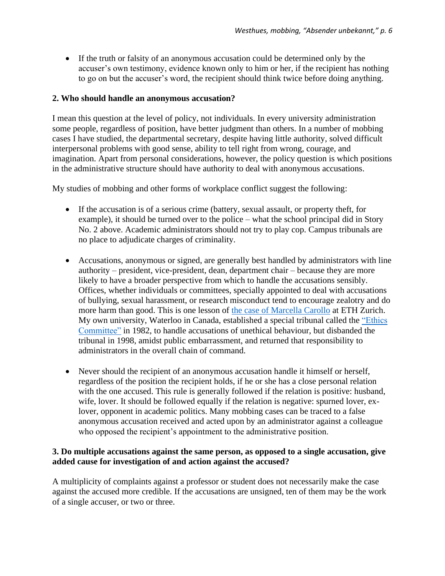• If the truth or falsity of an anonymous accusation could be determined only by the accuser's own testimony, evidence known only to him or her, if the recipient has nothing to go on but the accuser's word, the recipient should think twice before doing anything.

## **2. Who should handle an anonymous accusation?**

I mean this question at the level of policy, not individuals. In every university administration some people, regardless of position, have better judgment than others. In a number of mobbing cases I have studied, the departmental secretary, despite having little authority, solved difficult interpersonal problems with good sense, ability to tell right from wrong, courage, and imagination. Apart from personal considerations, however, the policy question is which positions in the administrative structure should have authority to deal with anonymous accusations.

My studies of mobbing and other forms of workplace conflict suggest the following:

- If the accusation is of a serious crime (battery, sexual assault, or property theft, for example), it should be turned over to the police – what the school principal did in Story No. 2 above. Academic administrators should not try to play cop. Campus tribunals are no place to adjudicate charges of criminality.
- Accusations, anonymous or signed, are generally best handled by administrators with line authority – president, vice-president, dean, department chair – because they are more likely to have a broader perspective from which to handle the accusations sensibly. Offices, whether individuals or committees, specially appointed to deal with accusations of bullying, sexual harassment, or research misconduct tend to encourage zealotry and do more harm than good. This is one lesson of [the case of Marcella Carollo](http://www.kwesthues.com/Carollo1906.html) at ETH Zurich. My own university, Waterloo in Canada, established a special tribunal called the "Ethics [Committee"](http://www.kwesthues.com/ethicscommittee.htm) in 1982, to handle accusations of unethical behaviour, but disbanded the tribunal in 1998, amidst public embarrassment, and returned that responsibility to administrators in the overall chain of command.
- Never should the recipient of an anonymous accusation handle it himself or herself, regardless of the position the recipient holds, if he or she has a close personal relation with the one accused. This rule is generally followed if the relation is positive: husband, wife, lover. It should be followed equally if the relation is negative: spurned lover, exlover, opponent in academic politics. Many mobbing cases can be traced to a false anonymous accusation received and acted upon by an administrator against a colleague who opposed the recipient's appointment to the administrative position.

#### **3. Do multiple accusations against the same person, as opposed to a single accusation, give added cause for investigation of and action against the accused?**

A multiplicity of complaints against a professor or student does not necessarily make the case against the accused more credible. If the accusations are unsigned, ten of them may be the work of a single accuser, or two or three.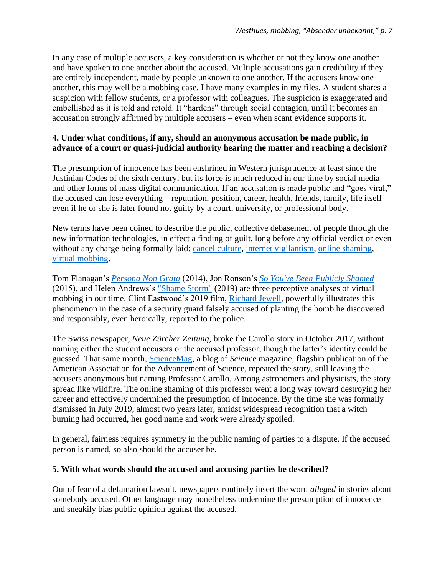In any case of multiple accusers, a key consideration is whether or not they know one another and have spoken to one another about the accused. Multiple accusations gain credibility if they are entirely independent, made by people unknown to one another. If the accusers know one another, this may well be a mobbing case. I have many examples in my files. A student shares a suspicion with fellow students, or a professor with colleagues. The suspicion is exaggerated and embellished as it is told and retold. It "hardens" through social contagion, until it becomes an accusation strongly affirmed by multiple accusers – even when scant evidence supports it.

## **4. Under what conditions, if any, should an anonymous accusation be made public, in advance of a court or quasi-judicial authority hearing the matter and reaching a decision?**

The presumption of innocence has been enshrined in Western jurisprudence at least since the Justinian Codes of the sixth century, but its force is much reduced in our time by social media and other forms of mass digital communication. If an accusation is made public and "goes viral," the accused can lose everything – reputation, position, career, health, friends, family, life itself – even if he or she is later found not guilty by a court, university, or professional body.

New terms have been coined to describe the public, collective debasement of people through the new information technologies, in effect a finding of guilt, long before any official verdict or even without any charge being formally laid: [cancel culture,](https://en.wikipedia.org/wiki/Call-out_culture) [internet vigilantism,](https://en.wikipedia.org/wiki/Internet_vigilantism) [online shaming,](https://en.wikipedia.org/wiki/Online_shaming) [virtual mobbing.](http://www.kwesthues.com/virtualmob140522.html)

Tom Flanagan's *[Persona Non Grata](http://www.kwesthues.com/Flanagan1406.html)* (2014), Jon Ronson's *[So You've Been Publicly Shamed](https://en.wikipedia.org/wiki/So_You%27ve_Been_Publicly_Shamed)* (2015), and Helen Andrews's ["Shame Storm"](https://herandrews.com/2018/12/11/shame-storm/) (2019) are three perceptive analyses of virtual mobbing in our time. Clint Eastwood's 2019 film, [Richard Jewell,](https://en.wikipedia.org/wiki/Richard_Jewell_(film)) powerfully illustrates this phenomenon in the case of a security guard falsely accused of planting the bomb he discovered and responsibly, even heroically, reported to the police.

The Swiss newspaper, *Neue Zürcher Zeitung,* broke the Carollo story in October 2017, without naming either the student accusers or the accused professor, though the latter's identity could be guessed. That same month, [ScienceMag,](https://www.sciencemag.org/news/2017/10/swiss-university-dissolves-astronomy-institute-after-misconduct-allegations) a blog of *Science* magazine, flagship publication of the American Association for the Advancement of Science, repeated the story, still leaving the accusers anonymous but naming Professor Carollo. Among astronomers and physicists, the story spread like wildfire. The online shaming of this professor went a long way toward destroying her career and effectively undermined the presumption of innocence. By the time she was formally dismissed in July 2019, almost two years later, amidst widespread recognition that a witch burning had occurred, her good name and work were already spoiled.

In general, fairness requires symmetry in the public naming of parties to a dispute. If the accused person is named, so also should the accuser be.

## **5. With what words should the accused and accusing parties be described?**

Out of fear of a defamation lawsuit, newspapers routinely insert the word *alleged* in stories about somebody accused. Other language may nonetheless undermine the presumption of innocence and sneakily bias public opinion against the accused.